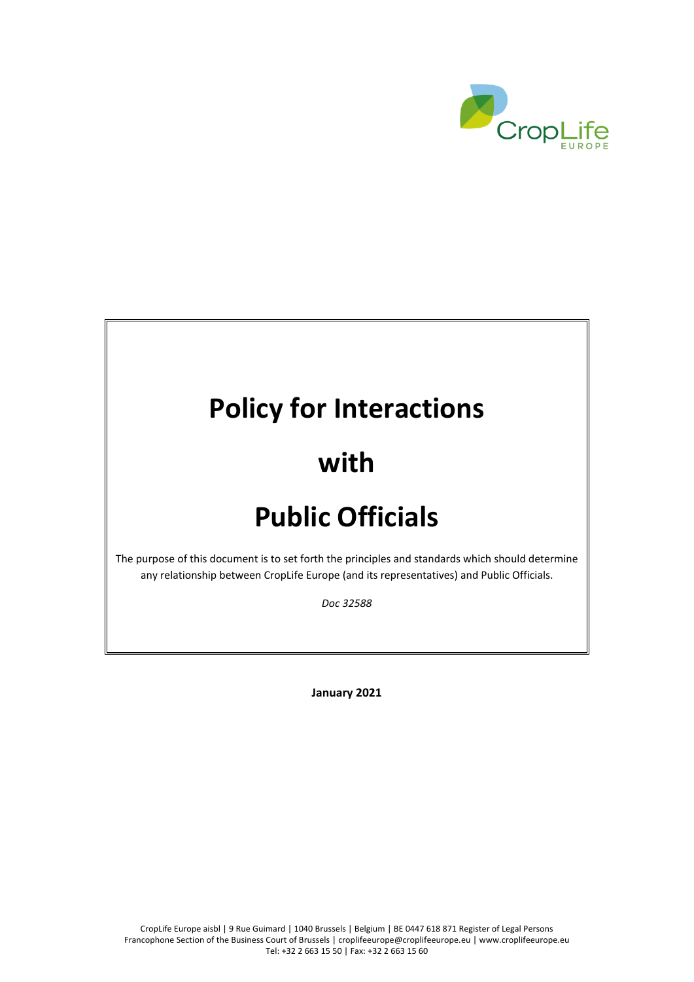

# **Policy for Interactions**

# **with**

# **Public Officials**

The purpose of this document is to set forth the principles and standards which should determine any relationship between CropLife Europe (and its representatives) and Public Officials.

*Doc 32588*

**January 2021**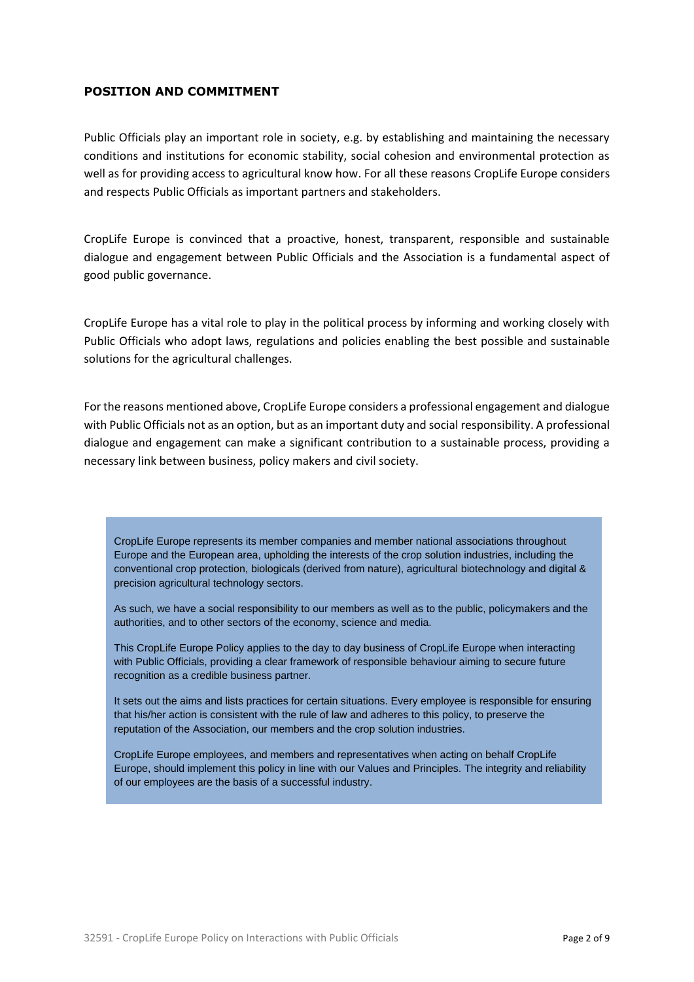## **POSITION AND COMMITMENT**

Public Officials play an important role in society, e.g. by establishing and maintaining the necessary conditions and institutions for economic stability, social cohesion and environmental protection as well as for providing access to agricultural know how. For all these reasons CropLife Europe considers and respects Public Officials as important partners and stakeholders.

CropLife Europe is convinced that a proactive, honest, transparent, responsible and sustainable dialogue and engagement between Public Officials and the Association is a fundamental aspect of good public governance.

CropLife Europe has a vital role to play in the political process by informing and working closely with Public Officials who adopt laws, regulations and policies enabling the best possible and sustainable solutions for the agricultural challenges.

For the reasons mentioned above, CropLife Europe considers a professional engagement and dialogue with Public Officials not as an option, but as an important duty and social responsibility. A professional dialogue and engagement can make a significant contribution to a sustainable process, providing a necessary link between business, policy makers and civil society.

CropLife Europe represents its member companies and member national associations throughout Europe and the European area, upholding the interests of the crop solution industries, including the conventional crop protection, biologicals (derived from nature), agricultural biotechnology and digital & precision agricultural technology sectors.

As such, we have a social responsibility to our members as well as to the public, policymakers and the authorities, and to other sectors of the economy, science and media.

This CropLife Europe Policy applies to the day to day business of CropLife Europe when interacting with Public Officials, providing a clear framework of responsible behaviour aiming to secure future recognition as a credible business partner.

It sets out the aims and lists practices for certain situations. Every employee is responsible for ensuring that his/her action is consistent with the rule of law and adheres to this policy, to preserve the reputation of the Association, our members and the crop solution industries.

CropLife Europe employees, and members and representatives when acting on behalf CropLife Europe, should implement this policy in line with our Values and Principles. The integrity and reliability of our employees are the basis of a successful industry.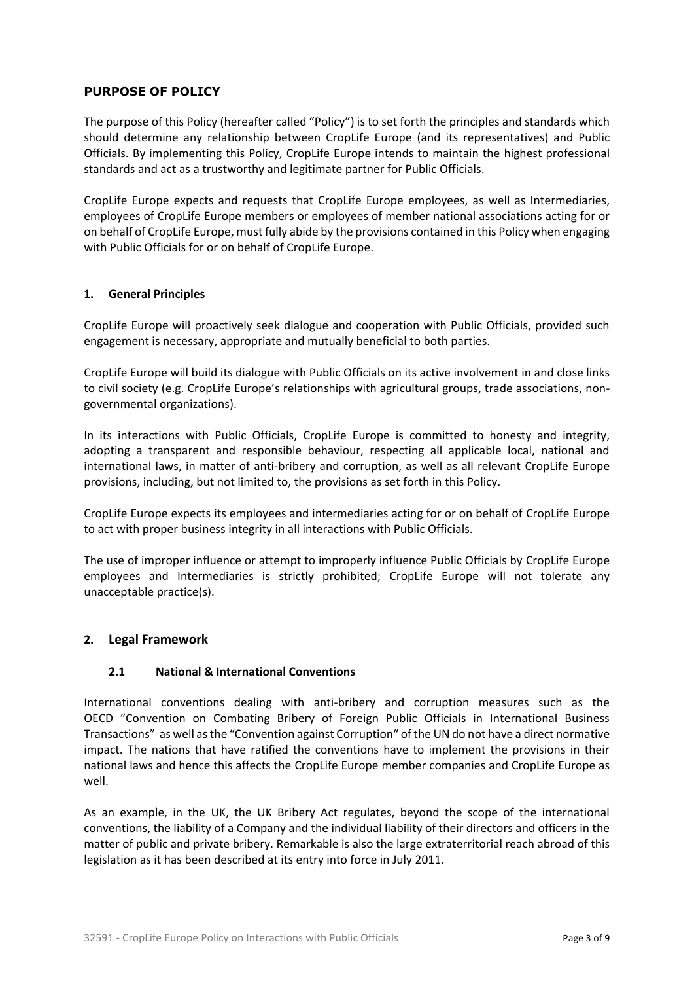# **PURPOSE OF POLICY**

The purpose of this Policy (hereafter called "Policy") is to set forth the principles and standards which should determine any relationship between CropLife Europe (and its representatives) and Public Officials. By implementing this Policy, CropLife Europe intends to maintain the highest professional standards and act as a trustworthy and legitimate partner for Public Officials.

CropLife Europe expects and requests that CropLife Europe employees, as well as Intermediaries, employees of CropLife Europe members or employees of member national associations acting for or on behalf of CropLife Europe, must fully abide by the provisions contained in this Policy when engaging with Public Officials for or on behalf of CropLife Europe.

#### **1. General Principles**

CropLife Europe will proactively seek dialogue and cooperation with Public Officials, provided such engagement is necessary, appropriate and mutually beneficial to both parties.

CropLife Europe will build its dialogue with Public Officials on its active involvement in and close links to civil society (e.g. CropLife Europe's relationships with agricultural groups, trade associations, nongovernmental organizations).

In its interactions with Public Officials, CropLife Europe is committed to honesty and integrity, adopting a transparent and responsible behaviour, respecting all applicable local, national and international laws, in matter of anti-bribery and corruption, as well as all relevant CropLife Europe provisions, including, but not limited to, the provisions as set forth in this Policy.

CropLife Europe expects its employees and intermediaries acting for or on behalf of CropLife Europe to act with proper business integrity in all interactions with Public Officials.

The use of improper influence or attempt to improperly influence Public Officials by CropLife Europe employees and Intermediaries is strictly prohibited; CropLife Europe will not tolerate any unacceptable practice(s).

#### **2. Legal Framework**

#### **2.1 National & International Conventions**

International conventions dealing with anti-bribery and corruption measures such as the OECD "Convention on Combating Bribery of Foreign Public Officials in International Business Transactions" as well as the "Convention against Corruption" of the UN do not have a direct normative impact. The nations that have ratified the conventions have to implement the provisions in their national laws and hence this affects the CropLife Europe member companies and CropLife Europe as well.

As an example, in the UK, the UK Bribery Act regulates, beyond the scope of the international conventions, the liability of a Company and the individual liability of their directors and officers in the matter of public and private bribery. Remarkable is also the large extraterritorial reach abroad of this legislation as it has been described at its entry into force in July 2011.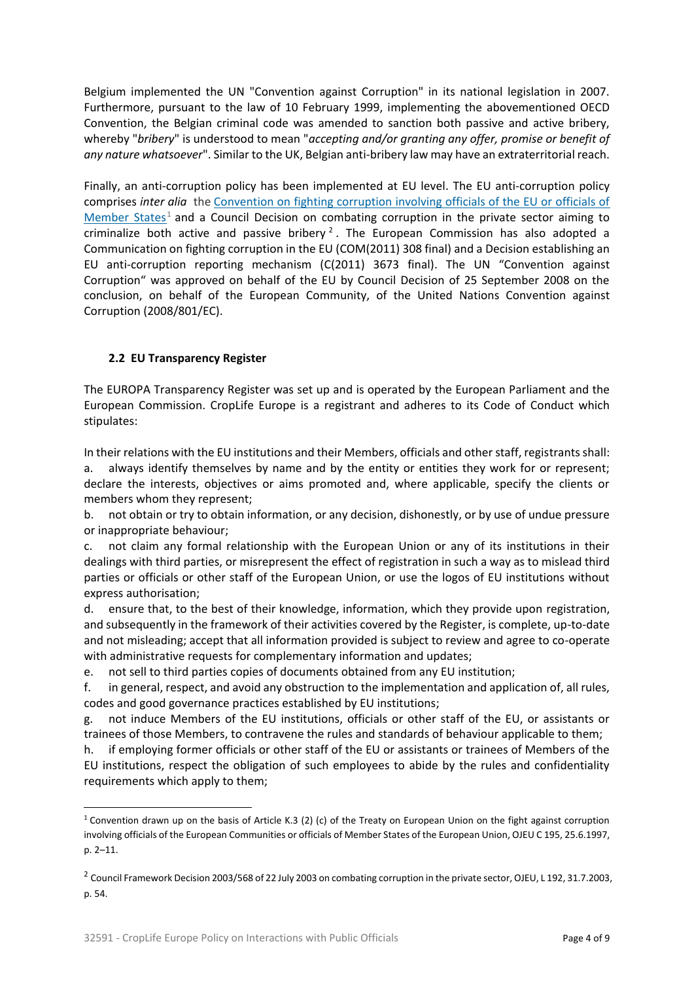Belgium implemented the UN "Convention against Corruption" in its national legislation in 2007. Furthermore, pursuant to the law of 10 February 1999, implementing the abovementioned OECD Convention, the Belgian criminal code was amended to sanction both passive and active bribery, whereby "*bribery*" is understood to mean "*accepting and/or granting any offer, promise or benefit of any nature whatsoever*". Similar to the UK, Belgian anti-bribery law may have an extraterritorial reach.

Finally, an anti-corruption policy has been implemented at EU level. The EU anti-corruption policy comprises *inter alia* the [Convention on fighting corruption involving officials of the EU or officials of](http://eur-lex.europa.eu/legal-content/EN/ALL/?uri=CELEX:41997A0625(01))  [Member States](http://eur-lex.europa.eu/legal-content/EN/ALL/?uri=CELEX:41997A0625(01))<sup>1</sup> and a Council Decision on combating corruption in the private sector aiming to criminalize both active and passive bribery<sup>2</sup>. The European Commission has also adopted a Communication on fighting corruption in the EU (COM(2011) 308 final) and a Decision establishing an EU anti-corruption reporting mechanism (C(2011) 3673 final). The UN "Convention against Corruption" was approved on behalf of the EU by Council Decision of 25 September 2008 on the conclusion, on behalf of the European Community, of the United Nations Convention against Corruption (2008/801/EC).

# **2.2 EU Transparency Register**

The EUROPA Transparency Register was set up and is operated by the European Parliament and the European Commission. CropLife Europe is a registrant and adheres to its Code of Conduct which stipulates:

In their relations with the EU institutions and their Members, officials and other staff, registrants shall: a. always identify themselves by name and by the entity or entities they work for or represent; declare the interests, objectives or aims promoted and, where applicable, specify the clients or members whom they represent;

b. not obtain or try to obtain information, or any decision, dishonestly, or by use of undue pressure or inappropriate behaviour;

c. not claim any formal relationship with the European Union or any of its institutions in their dealings with third parties, or misrepresent the effect of registration in such a way as to mislead third parties or officials or other staff of the European Union, or use the logos of EU institutions without express authorisation;

d. ensure that, to the best of their knowledge, information, which they provide upon registration, and subsequently in the framework of their activities covered by the Register, is complete, up-to-date and not misleading; accept that all information provided is subject to review and agree to co-operate with administrative requests for complementary information and updates;

e. not sell to third parties copies of documents obtained from any EU institution;

f. in general, respect, and avoid any obstruction to the implementation and application of, all rules, codes and good governance practices established by EU institutions;

g. not induce Members of the EU institutions, officials or other staff of the EU, or assistants or trainees of those Members, to contravene the rules and standards of behaviour applicable to them;

h. if employing former officials or other staff of the EU or assistants or trainees of Members of the EU institutions, respect the obligation of such employees to abide by the rules and confidentiality requirements which apply to them;

<sup>&</sup>lt;sup>1</sup> Convention drawn up on the basis of Article K.3 (2) (c) of the Treaty on European Union on the fight against corruption involving officials of the European Communities or officials of Member States of the European Union, OJEU C 195, 25.6.1997, p. 2–11.

 $^2$  Council Framework Decision 2003/568 of 22 July 2003 on combating corruption in the private sector, OJEU, L 192, 31.7.2003, p. 54.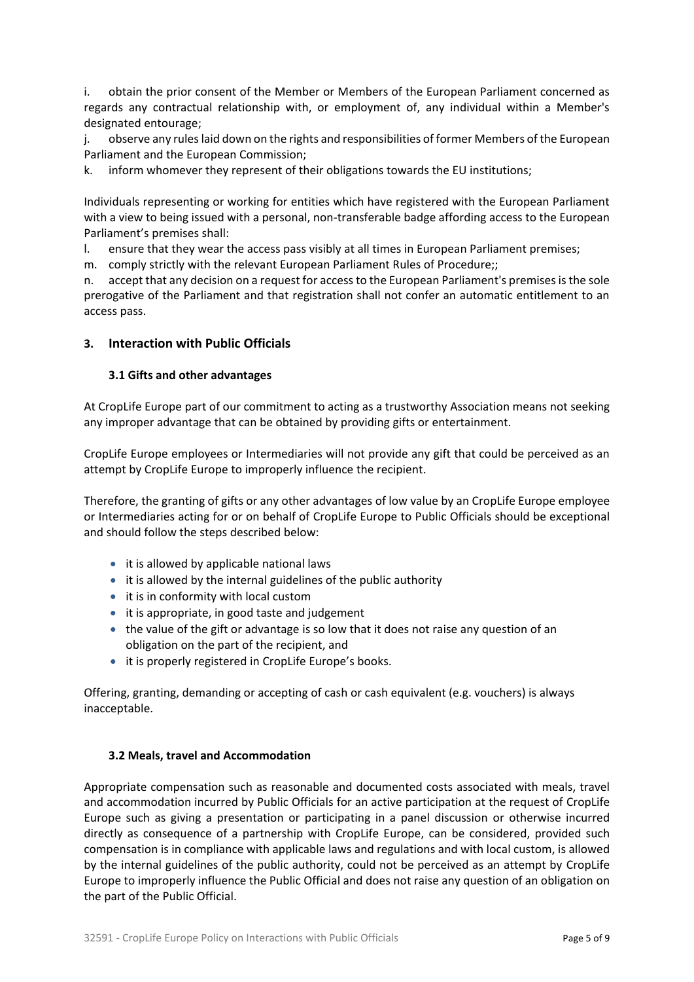i. obtain the prior consent of the Member or Members of the European Parliament concerned as regards any contractual relationship with, or employment of, any individual within a Member's designated entourage;

j. observe any rules laid down on the rights and responsibilities of former Members of the European Parliament and the European Commission;

k. inform whomever they represent of their obligations towards the EU institutions;

Individuals representing or working for entities which have registered with the European Parliament with a view to being issued with a personal, non-transferable badge affording access to the European Parliament's premises shall:

l. ensure that they wear the access pass visibly at all times in European Parliament premises;

m. comply strictly with the relevant European Parliament Rules of Procedure;;

n. accept that any decision on a request for access to the European Parliament's premises is the sole prerogative of the Parliament and that registration shall not confer an automatic entitlement to an access pass.

## **3. Interaction with Public Officials**

#### **3.1 Gifts and other advantages**

At CropLife Europe part of our commitment to acting as a trustworthy Association means not seeking any improper advantage that can be obtained by providing gifts or entertainment.

CropLife Europe employees or Intermediaries will not provide any gift that could be perceived as an attempt by CropLife Europe to improperly influence the recipient.

Therefore, the granting of gifts or any other advantages of low value by an CropLife Europe employee or Intermediaries acting for or on behalf of CropLife Europe to Public Officials should be exceptional and should follow the steps described below:

- it is allowed by applicable national laws
- it is allowed by the internal guidelines of the public authority
- it is in conformity with local custom
- it is appropriate, in good taste and judgement
- the value of the gift or advantage is so low that it does not raise any question of an obligation on the part of the recipient, and
- it is properly registered in CropLife Europe's books.

Offering, granting, demanding or accepting of cash or cash equivalent (e.g. vouchers) is always inacceptable.

#### **3.2 Meals, travel and Accommodation**

Appropriate compensation such as reasonable and documented costs associated with meals, travel and accommodation incurred by Public Officials for an active participation at the request of CropLife Europe such as giving a presentation or participating in a panel discussion or otherwise incurred directly as consequence of a partnership with CropLife Europe, can be considered, provided such compensation is in compliance with applicable laws and regulations and with local custom, is allowed by the internal guidelines of the public authority, could not be perceived as an attempt by CropLife Europe to improperly influence the Public Official and does not raise any question of an obligation on the part of the Public Official.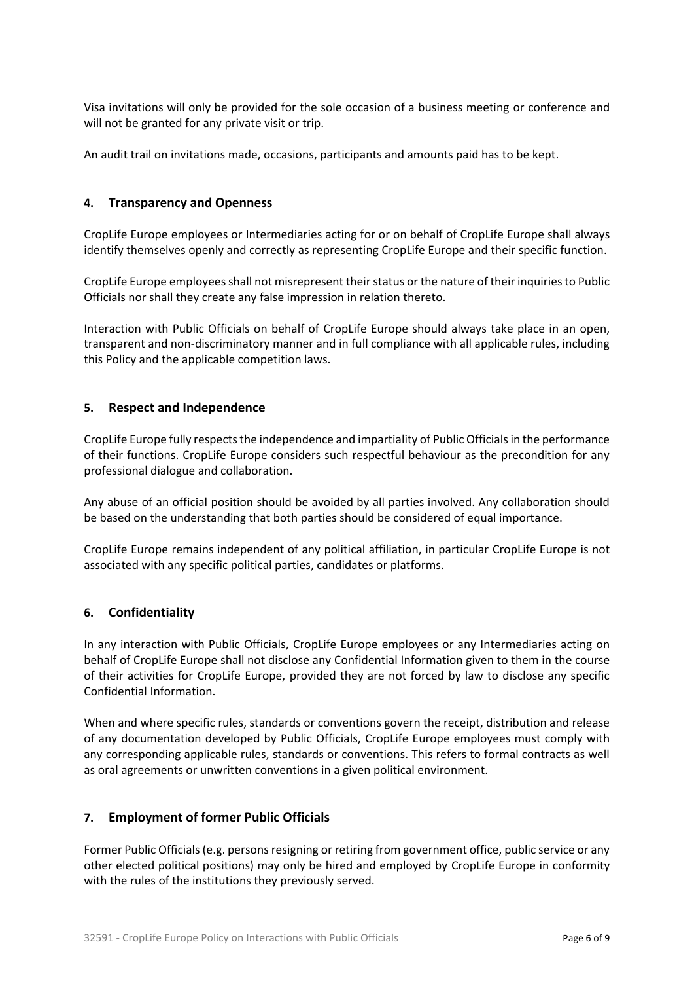Visa invitations will only be provided for the sole occasion of a business meeting or conference and will not be granted for any private visit or trip.

An audit trail on invitations made, occasions, participants and amounts paid has to be kept.

## **4. Transparency and Openness**

CropLife Europe employees or Intermediaries acting for or on behalf of CropLife Europe shall always identify themselves openly and correctly as representing CropLife Europe and their specific function.

CropLife Europe employees shall not misrepresent their status or the nature of their inquiries to Public Officials nor shall they create any false impression in relation thereto.

Interaction with Public Officials on behalf of CropLife Europe should always take place in an open, transparent and non-discriminatory manner and in full compliance with all applicable rules, including this Policy and the applicable competition laws.

## **5. Respect and Independence**

CropLife Europe fully respects the independence and impartiality of Public Officials in the performance of their functions. CropLife Europe considers such respectful behaviour as the precondition for any professional dialogue and collaboration.

Any abuse of an official position should be avoided by all parties involved. Any collaboration should be based on the understanding that both parties should be considered of equal importance.

CropLife Europe remains independent of any political affiliation, in particular CropLife Europe is not associated with any specific political parties, candidates or platforms.

# **6. Confidentiality**

In any interaction with Public Officials, CropLife Europe employees or any Intermediaries acting on behalf of CropLife Europe shall not disclose any Confidential Information given to them in the course of their activities for CropLife Europe, provided they are not forced by law to disclose any specific Confidential Information.

When and where specific rules, standards or conventions govern the receipt, distribution and release of any documentation developed by Public Officials, CropLife Europe employees must comply with any corresponding applicable rules, standards or conventions. This refers to formal contracts as well as oral agreements or unwritten conventions in a given political environment.

# **7. Employment of former Public Officials**

Former Public Officials (e.g. persons resigning or retiring from government office, public service or any other elected political positions) may only be hired and employed by CropLife Europe in conformity with the rules of the institutions they previously served.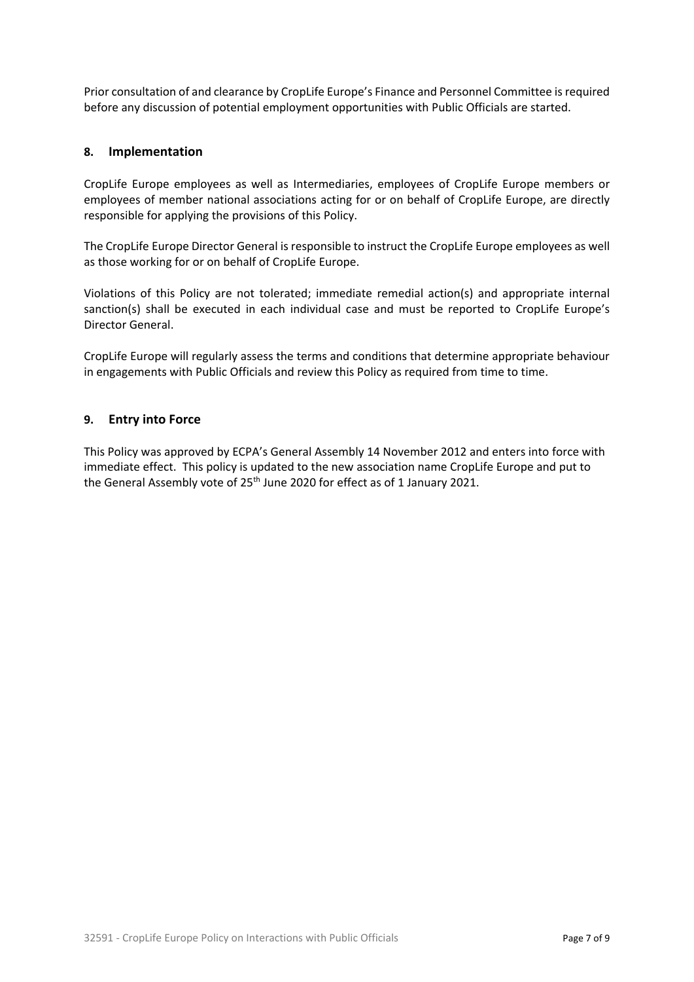Prior consultation of and clearance by CropLife Europe's Finance and Personnel Committee is required before any discussion of potential employment opportunities with Public Officials are started.

# **8. Implementation**

CropLife Europe employees as well as Intermediaries, employees of CropLife Europe members or employees of member national associations acting for or on behalf of CropLife Europe, are directly responsible for applying the provisions of this Policy.

The CropLife Europe Director General is responsible to instruct the CropLife Europe employees as well as those working for or on behalf of CropLife Europe.

Violations of this Policy are not tolerated; immediate remedial action(s) and appropriate internal sanction(s) shall be executed in each individual case and must be reported to CropLife Europe's Director General.

CropLife Europe will regularly assess the terms and conditions that determine appropriate behaviour in engagements with Public Officials and review this Policy as required from time to time.

## **9. Entry into Force**

This Policy was approved by ECPA's General Assembly 14 November 2012 and enters into force with immediate effect. This policy is updated to the new association name CropLife Europe and put to the General Assembly vote of 25<sup>th</sup> June 2020 for effect as of 1 January 2021.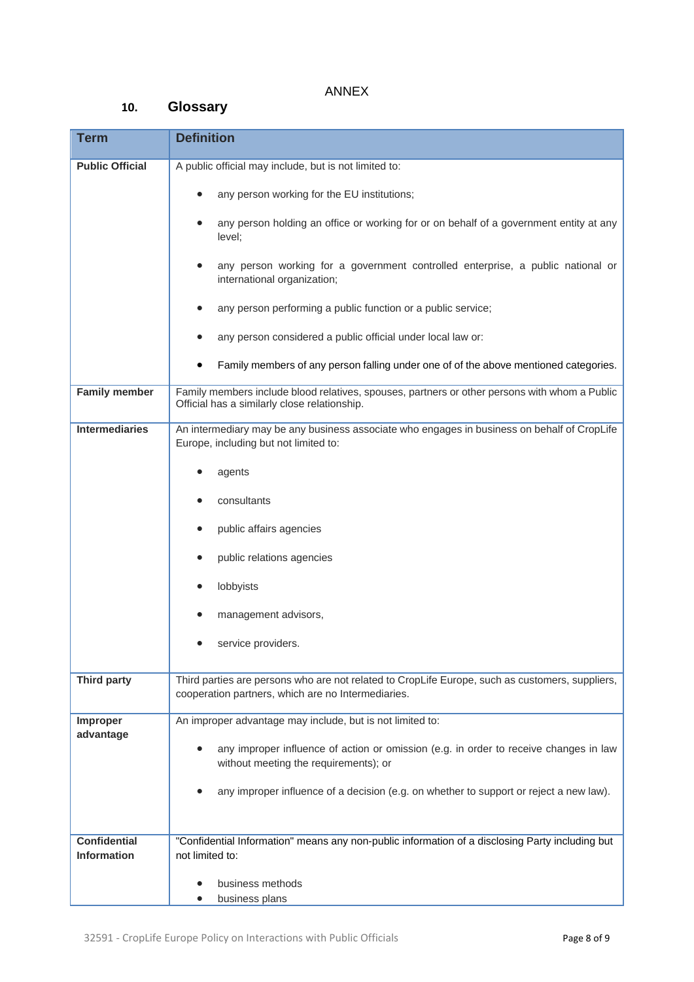# ANNEX

# **10. Glossary**

| <b>Term</b>                               | <b>Definition</b>                                                                                                                                     |
|-------------------------------------------|-------------------------------------------------------------------------------------------------------------------------------------------------------|
| <b>Public Official</b>                    | A public official may include, but is not limited to:                                                                                                 |
|                                           | any person working for the EU institutions;                                                                                                           |
|                                           | any person holding an office or working for or on behalf of a government entity at any<br>level;                                                      |
|                                           | any person working for a government controlled enterprise, a public national or<br>international organization;                                        |
|                                           | any person performing a public function or a public service;                                                                                          |
|                                           | any person considered a public official under local law or:                                                                                           |
|                                           | Family members of any person falling under one of of the above mentioned categories.                                                                  |
| <b>Family member</b>                      | Family members include blood relatives, spouses, partners or other persons with whom a Public<br>Official has a similarly close relationship.         |
| <b>Intermediaries</b>                     | An intermediary may be any business associate who engages in business on behalf of CropLife<br>Europe, including but not limited to:                  |
|                                           | agents                                                                                                                                                |
|                                           | consultants                                                                                                                                           |
|                                           | public affairs agencies                                                                                                                               |
|                                           | public relations agencies                                                                                                                             |
|                                           | lobbyists                                                                                                                                             |
|                                           | management advisors,                                                                                                                                  |
|                                           | service providers.                                                                                                                                    |
| <b>Third party</b>                        | Third parties are persons who are not related to CropLife Europe, such as customers, suppliers,<br>cooperation partners, which are no Intermediaries. |
| Improper<br>advantage                     | An improper advantage may include, but is not limited to:                                                                                             |
|                                           | any improper influence of action or omission (e.g. in order to receive changes in law<br>without meeting the requirements); or                        |
|                                           | any improper influence of a decision (e.g. on whether to support or reject a new law).                                                                |
| <b>Confidential</b><br><b>Information</b> | "Confidential Information" means any non-public information of a disclosing Party including but<br>not limited to:                                    |
|                                           | business methods<br>business plans                                                                                                                    |